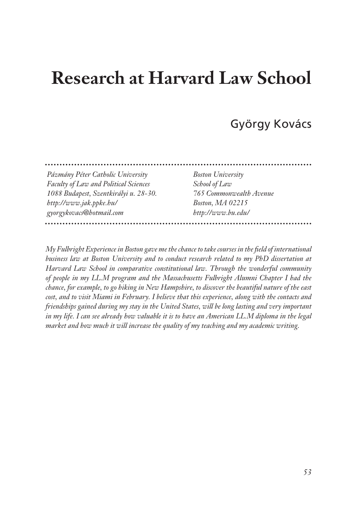# **Research at Harvard Law School**

# György Kovács

. . . . . . . . . . . . . . . . . 

*Pázmány Péter Catholic University Faculty of Law and Political Sciences 1088 Budapest, Szentkirályi u. 28-30. http://www.jak.ppke.hu/ gyorgykovacs@hotmail.com* 

*Boston University School of Law 765 Commonwealth Avenue Boston, MA 02215 http://www.bu.edu/*

*My Fulbright Experience in Boston gave me the chance to take courses in the field of international business law at Boston University and to conduct research related to my PhD dissertation at Harvard Law School in comparative constitutional law. Through the wonderful community of people in my LL.M program and the Massachusetts Fulbright Alumni Chapter I had the chance, for example, to go hiking in New Hampshire, to discover the beautiful nature of the east cost, and to visit Miami in February. I believe that this experience, along with the contacts and friendships gained during my stay in the United States, will be long lasting and very important in my life. I can see already how valuable it is to have an American LL.M diploma in the legal market and how much it will increase the quality of my teaching and my academic writing.*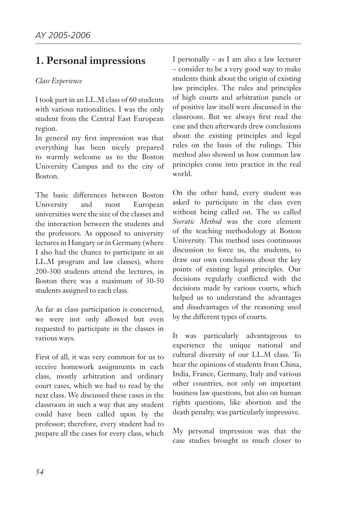# **1. Personal impressions**

#### *Class Experience*

I took part in an LL.M class of 60 students with various nationalities. I was the only student from the Central East European region.

In general my first impression was that everything has been nicely prepared to warmly welcome us to the Boston University Campus and to the city of Boston.

The basic differences between Boston University and most European universities were the size of the classes and the interaction between the students and the professors. As opposed to university lectures in Hungary or in Germany (where I also had the chance to participate in an LL.M program and law classes), where 200-300 students attend the lectures, in Boston there was a maximum of 30-50 students assigned to each class.

As far as class participation is concerned, we were not only allowed but even requested to participate in the classes in various ways.

First of all, it was very common for us to receive homework assignments in each class, mostly arbitration and ordinary court cases, which we had to read by the next class. We discussed these cases in the classroom in such a way that any student could have been called upon by the professor; therefore, every student had to prepare all the cases for every class, which

I personally – as I am also a law lecturer – consider to be a very good way to make students think about the origin of existing law principles. The rules and principles of high courts and arbitration panels or of positive law itself were discussed in the classroom. But we always first read the case and then afterwards drew conclusions about the existing principles and legal rules on the basis of the rulings. This method also showed us how common law principles come into practice in the real world.

On the other hand, every student was asked to participate in the class even without being called on. The so called *Socratic Method* was the core element of the teaching methodology at Boston University. This method uses continuous discussion to force us, the students, to draw our own conclusions about the key points of existing legal principles. Our decisions regularly conflicted with the decisions made by various courts, which helped us to understand the advantages and disadvantages of the reasoning used by the different types of courts.

It was particularly advantageous to experience the unique national and cultural diversity of our LL.M class. To hear the opinions of students from China, India, France, Germany, Italy and various other countries, not only on important business law questions, but also on human rights questions, like abortion and the death penalty, was particularly impressive.

My personal impression was that the case studies brought us much closer to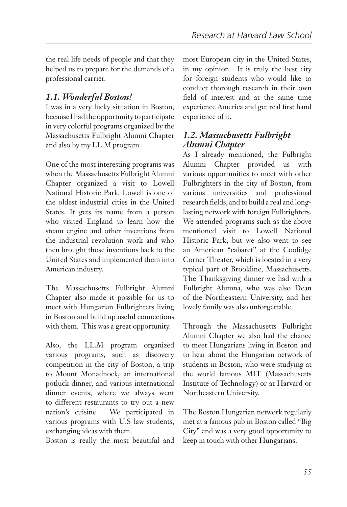the real life needs of people and that they helped us to prepare for the demands of a professional carrier.

### *1.1. Wonderful Boston!*

I was in a very lucky situation in Boston, because I had the opportunity to participate in very colorful programs organized by the Massachusetts Fulbright Alumni Chapter and also by my LL.M program.

One of the most interesting programs was when the Massachusetts Fulbright Alumni Chapter organized a visit to Lowell National Historic Park. Lowell is one of the oldest industrial cities in the United States. It gets its name from a person who visited England to learn how the steam engine and other inventions from the industrial revolution work and who then brought those inventions back to the United States and implemented them into American industry.

The Massachusetts Fulbright Alumni Chapter also made it possible for us to meet with Hungarian Fulbrighters living in Boston and build up useful connections with them. This was a great opportunity.

Also, the LL.M program organized various programs, such as discovery competition in the city of Boston, a trip to Mount Monadnock, an international potluck dinner, and various international dinner events, where we always went to different restaurants to try out a new nation's cuisine. We participated in various programs with U.S law students, exchanging ideas with them.

Boston is really the most beautiful and

most European city in the United States, in my opinion. It is truly the best city for foreign students who would like to conduct thorough research in their own field of interest and at the same time experience America and get real first hand experience of it.

### *1.2. Massachusetts Fulbright Alumni Chapter*

As I already mentioned, the Fulbright Alumni Chapter provided us with various opportunities to meet with other Fulbrighters in the city of Boston, from various universities and professional research fields, and to build a real and longlasting network with foreign Fulbrighters. We attended programs such as the above mentioned visit to Lowell National Historic Park, but we also went to see an American "cabaret" at the Coolidge Corner Theater, which is located in a very typical part of Brookline, Massachusetts. The Thanksgiving dinner we had with a Fulbright Alumna, who was also Dean of the Northeastern University, and her lovely family was also unforgettable.

Through the Massachusetts Fulbright Alumni Chapter we also had the chance to meet Hungarians living in Boston and to hear about the Hungarian network of students in Boston, who were studying at the world famous MIT (Massachusetts Institute of Technology) or at Harvard or Northeastern University.

The Boston Hungarian network regularly met at a famous pub in Boston called "Big City" and was a very good opportunity to keep in touch with other Hungarians.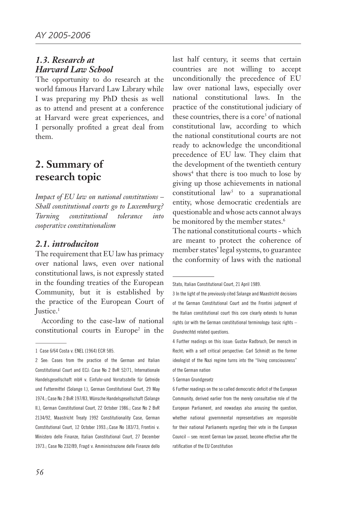#### *1.3. Research at Harvard Law School*

The opportunity to do research at the world famous Harvard Law Library while I was preparing my PhD thesis as well as to attend and present at a conference at Harvard were great experiences, and I personally profited a great deal from them.

## **2. Summary of research topic**

*Impact of EU law on national constitutions – Shall constitutional courts go to Luxemburg? Turning constitutional tolerance into cooperative constitutionalism*

#### *2.1. introduciton*

The requirement that EU law has primacy over national laws, even over national constitutional laws, is not expressly stated in the founding treaties of the European Community, but it is established by the practice of the European Court of Justice.<sup>1</sup>

According to the case-law of national constitutional courts in Europe<sup>2</sup> in the last half century, it seems that certain countries are not willing to accept unconditionally the precedence of EU law over national laws, especially over national constitutional laws. In the practice of the constitutional judiciary of these countries, there is a core<sup>3</sup> of national constitutional law, according to which the national constitutional courts are not ready to acknowledge the unconditional precedence of EU law. They claim that the development of the twentieth century shows<sup>4</sup> that there is too much to lose by giving up those achievements in national  $\text{constitutional law}^5$  to a supranational entity, whose democratic credentials are questionable and whose acts cannot always be monitored by the member states.<sup>6</sup>

The national constitutional courts - which are meant to protect the coherence of member states' legal systems, to guarantee the conformity of laws with the national

<sup>1</sup> Case 6/64 Costa v. ENEL (1964) ECR 585.

<sup>2</sup> See: Cases from the practice of the German and Italian Constitutional Court and ECJ: Case No 2 BvR 52/71, Internationale Handelsgesellschaft mbH v. Einfuhr-und Vorratsstelle für Getreide und Futtermittel (Solange I.), German Constitutional Court, 29 May 1974.; Case No 2 BvR 197/83, Wünsche Handelsgesellschaft (Solange II.), German Constitutional Court, 22 October 1986.; Case No 2 BvR 2134/92, Maastricht Treaty 1992 Constitutionality Case, German Constitutional Court, 12 October 1993.;.Case No 183/73, Frontini v. Ministero delle Finanze, Italian Constitutional Court, 27 December 1973.; Case No 232/89, Fragd v. Amministrazione delle Finanze dello

Stato, Italian Constitutional Court, 21 April 1989.

<sup>3</sup> In the light of the previously cited Solange and Maastricht decisions of the German Constitutional Court and the Frontini judgment of the Italian constitutional court this core clearly extends to human rights (or with the German constitutional terminology: basic rights – *Grundrechte*) related questions.

<sup>4</sup> Further readings on this issue: Gustav Radbruch, Der mensch im Recht; with a self critical perspective: Carl Schmidt as the former ideologist of the Nazi regime turns into the "living consciousness" of the German nation

<sup>5</sup> German Grundgesetz

<sup>6</sup> Further readings on the so called democratic deficit of the European Community, derived earlier from the merely consultative role of the European Parliament, and nowadays also arousing the question, whether national governmental representatives are responsible for their national Parliaments regarding their vote in the European Council – see: recent German law passed, become effective after the ratification of the EU Constitution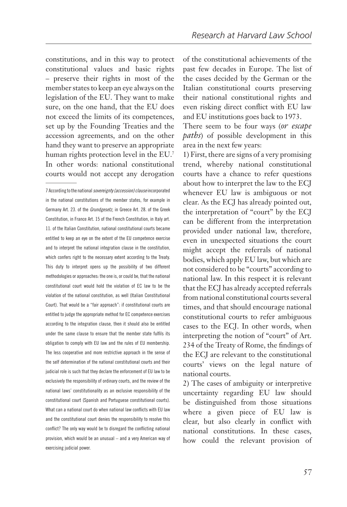constitutions, and in this way to protect constitutional values and basic rights – preserve their rights in most of the member states to keep an eye always on the legislation of the EU. They want to make sure, on the one hand, that the EU does not exceed the limits of its competences, set up by the Founding Treaties and the accession agreements, and on the other hand they want to preserve an appropriate human rights protection level in the EU.<sup>7</sup> In other words: national constitutional courts would not accept any derogation

of the constitutional achievements of the past few decades in Europe. The list of the cases decided by the German or the Italian constitutional courts preserving their national constitutional rights and even risking direct conflict with EU law and EU institutions goes back to 1973.

There seem to be four ways (*or escape paths*) of possible development in this area in the next few years:

1) First, there are signs of a very promising trend, whereby national constitutional courts have a chance to refer questions about how to interpret the law to the ECJ whenever EU law is ambiguous or not clear. As the ECJ has already pointed out, the interpretation of "court" by the ECJ can be different from the interpretation provided under national law, therefore, even in unexpected situations the court might accept the referrals of national bodies, which apply EU law, but which are not considered to be "courts" according to national law. In this respect it is relevant that the ECJ has already accepted referrals from national constitutional courts several times, and that should encourage national constitutional courts to refer ambiguous cases to the ECJ. In other words, when interpreting the notion of "court" of Art. 234 of the Treaty of Rome, the findings of the ECJ are relevant to the constitutional courts' views on the legal nature of national courts.

2) The cases of ambiguity or interpretive uncertainty regarding EU law should be distinguished from those situations where a given piece of EU law is clear, but also clearly in conflict with national constitutions. In these cases, how could the relevant provision of

<sup>7</sup> According to the national *sovereignty (accession) clause* incorporated in the national constitutions of the member states, for example in Germany Art. 23. of the *Grundgesetz,* in Greece Art. 28. of the Greek Constitution, in France Art. 15 of the French Constitution, in Italy art. 11. of the Italian Constitution, national constitutional courts became entitled to keep an eye on the extent of the EU competence exercise and to interpret the national integration clause in the constitution, which confers right to the necessary extent according to the Treaty. This duty to interpret opens up the possibility of two different methodologies or approaches: the one is, or could be, that the national constitutional court would hold the violation of EC law to be the violation of the national constitution, as well (Italian Constitutional Court). That would be a "fair approach": if constitutional courts are entitled to judge the appropriate method for EC competence exercises according to the integration clause, then it should also be entitled under the same clause to ensure that the member state fulfils its obligation to comply with EU law and the rules of EU membership. The less cooperative and more restrictive approach in the sense of the self determination of the national constitutional courts and their judicial role is such that they declare the enforcement of EU law to be exclusively the responsibility of ordinary courts, and the review of the national laws' constitutionality as an exclusive responsibility of the constitutional court (Spanish and Portuguese constitutional courts). What can a national court do when national law conflicts with EU law and the constitutional court denies the responsibility to resolve this conflict? The only way would be to disregard the conflicting national provision, which would be an unusual – and a very American way of exercising judicial power.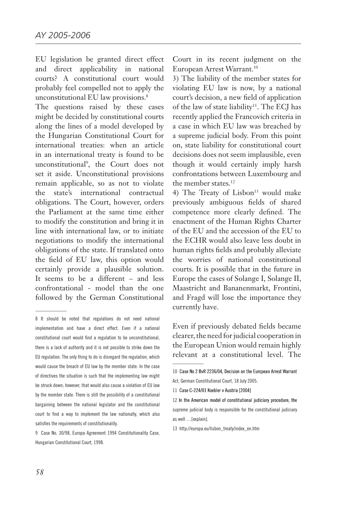EU legislation be granted direct effect and direct applicability in national courts? A constitutional court would probably feel compelled not to apply the unconstitutional EU law provisions.<sup>8</sup>

The questions raised by these cases might be decided by constitutional courts along the lines of a model developed by the Hungarian Constitutional Court for international treaties: when an article in an international treaty is found to be unconstitutional9 , the Court does not set it aside. Unconstitutional provisions remain applicable, so as not to violate the state's international contractual obligations. The Court, however, orders the Parliament at the same time either to modify the constitution and bring it in line with international law, or to initiate negotiations to modify the international obligations of the state. If translated onto the field of EU law, this option would certainly provide a plausible solution. It seems to be a different – and less confrontational - model than the one followed by the German Constitutional

Court in its recent judgment on the European Arrest Warrant.10

3) The liability of the member states for violating EU law is now, by a national court's decision, a new field of application of the law of state liability<sup>11</sup>. The ECJ has recently applied the Francovich criteria in a case in which EU law was breached by a supreme judicial body. From this point on, state liability for constitutional court decisions does not seem implausible, even though it would certainly imply harsh confrontations between Luxembourg and the member states.<sup>12</sup>

4) The Treaty of Lisbon<sup>13</sup> would make previously ambiguous fields of shared competence more clearly defined. The enactment of the Human Rights Charter of the EU and the accession of the EU to the ECHR would also leave less doubt in human rights fields and probably alleviate the worries of national constitutional courts. It is possible that in the future in Europe the cases of Solange I, Solange II, Maastricht and Bananenmarkt, Frontini, and Fragd will lose the importance they currently have.

Even if previously debated fields became clearer, the need for judicial cooperation in the European Union would remain highly relevant at a constitutional level. The

http://europa.eu/lisbon\_treaty/index\_en.htm

<sup>8</sup> It should be noted that regulations do not need national implementation and have a direct effect. Even if a national constitutional court would find a regulation to be unconstitutional, there is a lack of authority and it is not possible to strike down the EU regulation. The only thing to do is disregard the regulation, which would cause the breach of EU law by the member state. In the case of directives the situation is such that the implementing law might be struck down; however, that would also cause a violation of EU law by the member state. There is still the possibility of a constitutional bargaining between the national legislator and the constitutional court to find a way to implement the law nationally, which also satisfies the requirements of constitutionality.

<sup>9</sup> Case No. 30/98, Europa Agreement 1994 Constitutionality Case, Hungarian Constitutional Court, 1998.

<sup>10</sup> Case No 2 BvR 2236/04, Decision on the European Arrest Warrant

Act, German Constitutional Court, 18 July 2005.

Case C-224/01 Koebler v Austria [2004]

<sup>12</sup> In the American model of constitutional judiciary procedure, the supreme judicial body is responsible for the constitutional judiciary as well …[explain].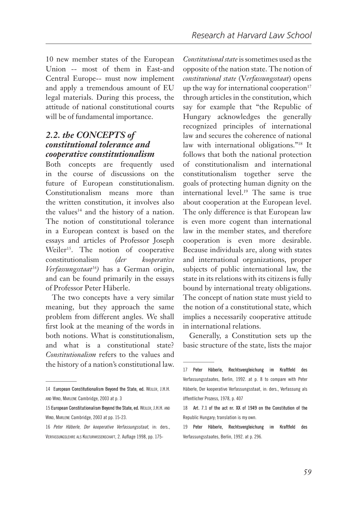10 new member states of the European Union -- most of them in East-and Central Europe-- must now implement and apply a tremendous amount of EU legal materials. During this process, the attitude of national constitutional courts will be of fundamental importance.

### *2.2. the CONCEPtS of constitutional tolerance and cooperative constitutionalism*

Both concepts are frequently used in the course of discussions on the future of European constitutionalism. Constitutionalism means more than the written constitution, it involves also the values<sup>14</sup> and the history of a nation. The notion of constitutional tolerance in a European context is based on the essays and articles of Professor Joseph Weiler<sup>15</sup>. The notion of cooperative constitutionalism *(der kooperative Verfassungsstaat16)* has a German origin, and can be found primarily in the essays of Professor Peter Häberle.

The two concepts have a very similar meaning, but they approach the same problem from different angles. We shall first look at the meaning of the words in both notions. What is constitutionalism, and what is a constitutional state? *Constitutionalism* refers to the values and the history of a nation's constitutional law.

*Constitutional state* is sometimes used as the opposite of the nation state. The notion of *constitutional state* (V*erfassungsstaat*) opens up the way for international cooperation $17$ through articles in the constitution, which say for example that "the Republic of Hungary acknowledges the generally recognized principles of international law and secures the coherence of national law with international obligations."18 It follows that both the national protection of constitutionalism and international constitutionalism together serve the goals of protecting human dignity on the international level.19 The same is true about cooperation at the European level. The only difference is that European law is even more cogent than international law in the member states, and therefore cooperation is even more desirable. Because individuals are, along with states and international organizations, proper subjects of public international law, the state in its relations with its citizens is fully bound by international treaty obligations. The concept of nation state must yield to the notion of a constitutional state, which implies a necessarily cooperative attitude in international relations.

Generally, a Constitution sets up the basic structure of the state, lists the major

<sup>14</sup> European Constitutionalism Beyond the State, ed. WEILER, J.H.H. and Wind, Marlene Cambridge, 2003 at p. 3

<sup>15</sup> European Constitutionalism Beyond the State, ed. WEILER, J.H.H. AND WIND, MARLENE Cambridge, 2003 at pp. 15-23.

*Peter Häberle, Der kooperative Verfassungsstaat*, in: ders., Verfassungslehre als Kulturwissenschaft, 2. Auflage 1998, pp. 175-

<sup>17</sup> Peter Häberle, Rechtsvergleichung im Kraftfeld des Verfassungsstaates, Berlin, 1992. at p. 8 to compare with Peter Häberle, Der kooperative Verfassungsstaat, in: ders., Verfassung als öffentlicher Prozess, 1978, p. 407

<sup>18</sup> Art. 7.1 of the act nr. XX of 1949 on the Constitution of the Republic Hungary; translation is my own.

<sup>19</sup> Peter Häberle, Rechtsvergleichung im Kraftfeld des Verfassungsstaates, Berlin, 1992. at p. 296.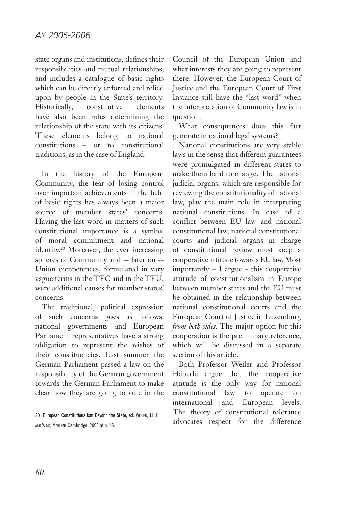state organs and institutions, defines their responsibilities and mutual relationships, and includes a catalogue of basic rights which can be directly enforced and relied upon by people in the State's territory. Historically, constitutive elements have also been rules determining the relationship of the state with its citizens. These elements belong to national constitutions – or to constitutional traditions, as in the case of England.

In the history of the European Community, the fear of losing control over important achievements in the field of basic rights has always been a major source of member states' concerns. Having the last word in matters of such constitutional importance is a symbol of moral commitment and national identity.<sup>20</sup> Moreover, the ever increasing spheres of Community and -- later on -- Union competences, formulated in vary vague terms in the TEC and in the TEU, were additional causes for member states' concerns.

The traditional, political expression of such concerns goes as follows: national governments and European Parliament representatives have a strong obligation to represent the wishes of their constituencies. Last summer the German Parliament passed a law on the responsibility of the German government towards the German Parliament to make clear how they are going to vote in the

Council of the European Union and what interests they are going to represent there. However, the European Court of Justice and the European Court of First Instance still have the "last word" when the interpretation of Community law is in question.

What consequences does this fact generate in national legal systems?

National constitutions are very stable laws in the sense that different guarantees were promulgated in different states to make them hard to change. The national judicial organs, which are responsible for reviewing the constitutionality of national law, play the main role in interpreting national constitutions. In case of a conflict between EU law and national constitutional law, national constitutional courts and judicial organs in charge of constitutional review must keep a cooperative attitude towards EU law. Most importantly – I argue - this cooperative attitude of constitutionalism in Europe between member states and the EU must be obtained in the relationship between national constitutional courts and the European Court of Justice in Luxemburg *from both sides*. The major option for this cooperation is the preliminary reference, which will be discussed in a separate section of this article.

Both Professor Weiler and Professor Häberle argue that the cooperative attitude is the only way for national constitutional law to operate on international and European levels. The theory of constitutional tolerance advocates respect for the difference

<sup>20</sup> European Constitutionalism Beyond the State, ed. WEILER, J.H.H. and Wind, Marlene Cambridge, 2003 at p. 15.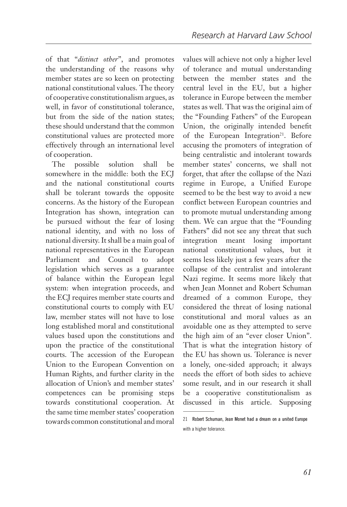of that "*distinct other*", and promotes the understanding of the reasons why member states are so keen on protecting national constitutional values. The theory of cooperative constitutionalism argues, as well, in favor of constitutional tolerance, but from the side of the nation states; these should understand that the common constitutional values are protected more effectively through an international level of cooperation.

The possible solution shall be somewhere in the middle: both the ECJ and the national constitutional courts shall be tolerant towards the opposite concerns. As the history of the European Integration has shown, integration can be pursued without the fear of losing national identity, and with no loss of national diversity. It shall be a main goal of national representatives in the European Parliament and Council to adopt legislation which serves as a guarantee of balance within the European legal system: when integration proceeds, and the ECJ requires member state courts and constitutional courts to comply with EU law, member states will not have to lose long established moral and constitutional values based upon the constitutions and upon the practice of the constitutional courts. The accession of the European Union to the European Convention on Human Rights, and further clarity in the allocation of Union's and member states' competences can be promising steps towards constitutional cooperation. At the same time member states' cooperation towards common constitutional and moral values will achieve not only a higher level of tolerance and mutual understanding between the member states and the central level in the EU, but a higher tolerance in Europe between the member states as well. That was the original aim of the "Founding Fathers" of the European Union, the originally intended benefit of the European Integration<sup>21</sup>. Before accusing the promoters of integration of being centralistic and intolerant towards member states' concerns, we shall not forget, that after the collapse of the Nazi regime in Europe, a Unified Europe seemed to be the best way to avoid a new conflict between European countries and to promote mutual understanding among them. We can argue that the "Founding Fathers" did not see any threat that such integration meant losing important national constitutional values, but it seems less likely just a few years after the collapse of the centralist and intolerant Nazi regime. It seems more likely that when Jean Monnet and Robert Schuman dreamed of a common Europe, they considered the threat of losing national constitutional and moral values as an avoidable one as they attempted to serve the high aim of an "ever closer Union". That is what the integration history of the EU has shown us. Tolerance is never a lonely, one-sided approach; it always needs the effort of both sides to achieve some result, and in our research it shall be a cooperative constitutionalism as discussed in this article. Supposing

Robert Schuman, Jean Monet had a dream on a united Europe with a higher tolerance.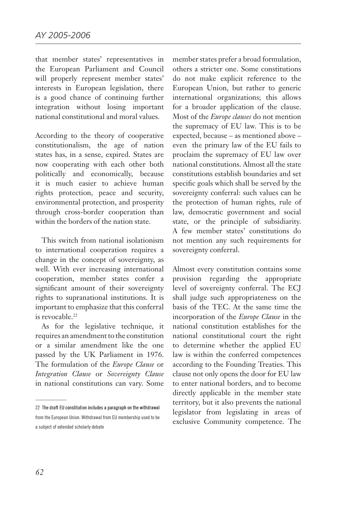that member states' representatives in the European Parliament and Council will properly represent member states' interests in European legislation, there is a good chance of continuing further integration without losing important national constitutional and moral values.

According to the theory of cooperative constitutionalism, the age of nation states has, in a sense, expired. States are now cooperating with each other both politically and economically, because it is much easier to achieve human rights protection, peace and security, environmental protection, and prosperity through cross-border cooperation than within the borders of the nation state.

This switch from national isolationism to international cooperation requires a change in the concept of sovereignty, as well. With ever increasing international cooperation, member states confer a significant amount of their sovereignty rights to supranational institutions. It is important to emphasize that this conferral is revocable.<sup>22</sup>

As for the legislative technique, it requires an amendment to the constitution or a similar amendment like the one passed by the UK Parliament in 1976. The formulation of the *Europe Clause* or *Integration Clause* or *Sovereignty Clause*  in national constitutions can vary. Some member states prefer a broad formulation, others a stricter one. Some constitutions do not make explicit reference to the European Union, but rather to generic international organizations; this allows for a broader application of the clause. Most of the *Europe clauses* do not mention the supremacy of EU law. This is to be expected, because – as mentioned above – even the primary law of the EU fails to proclaim the supremacy of EU law over national constitutions. Almost all the state constitutions establish boundaries and set specific goals which shall be served by the sovereignty conferral: such values can be the protection of human rights, rule of law, democratic government and social state, or the principle of subsidiarity. A few member states' constitutions do not mention any such requirements for sovereignty conferral.

Almost every constitution contains some provision regarding the appropriate level of sovereignty conferral. The ECJ shall judge such appropriateness on the basis of the TEC. At the same time the incorporation of the *Europe Clause* in the national constitution establishes for the national constitutional court the right to determine whether the applied EU law is within the conferred competences according to the Founding Treaties. This clause not only opens the door for EU law to enter national borders, and to become directly applicable in the member state territory, but it also prevents the national legislator from legislating in areas of exclusive Community competence. The

<sup>22</sup> The draft EU constitution includes a paragraph on the withdrawal

from the European Union. Withdrawal from EU membership used to be a subject of extended scholarly debate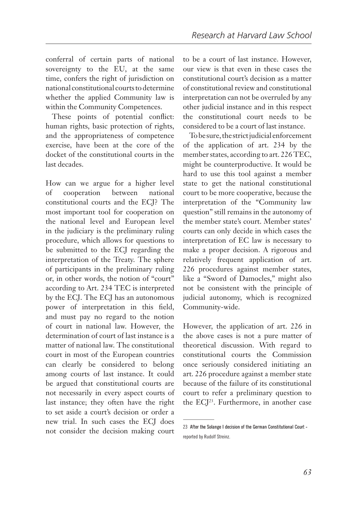conferral of certain parts of national sovereignty to the EU, at the same time, confers the right of jurisdiction on national constitutional courts to determine whether the applied Community law is within the Community Competences.

These points of potential conflict: human rights, basic protection of rights, and the appropriateness of competence exercise, have been at the core of the docket of the constitutional courts in the last decades.

How can we argue for a higher level of cooperation between national constitutional courts and the ECJ? The most important tool for cooperation on the national level and European level in the judiciary is the preliminary ruling procedure, which allows for questions to be submitted to the ECJ regarding the interpretation of the Treaty. The sphere of participants in the preliminary ruling or, in other words, the notion of "court" according to Art. 234 TEC is interpreted by the ECJ. The ECJ has an autonomous power of interpretation in this field, and must pay no regard to the notion of court in national law. However, the determination of court of last instance is a matter of national law. The constitutional court in most of the European countries can clearly be considered to belong among courts of last instance. It could be argued that constitutional courts are not necessarily in every aspect courts of last instance; they often have the right to set aside a court's decision or order a new trial. In such cases the ECJ does not consider the decision making court to be a court of last instance. However, our view is that even in these cases the constitutional court's decision as a matter of constitutional review and constitutional interpretation can not be overruled by any other judicial instance and in this respect the constitutional court needs to be considered to be a court of last instance.

To be sure, the strict judicial enforcement of the application of art. 234 by the member states, according to art. 226 TEC, might be counterproductive. It would be hard to use this tool against a member state to get the national constitutional court to be more cooperative, because the interpretation of the "Community law question" still remains in the autonomy of the member state's court. Member states' courts can only decide in which cases the interpretation of EC law is necessary to make a proper decision. A rigorous and relatively frequent application of art. 226 procedures against member states, like a "Sword of Damocles," might also not be consistent with the principle of judicial autonomy, which is recognized Community-wide.

However, the application of art. 226 in the above cases is not a pure matter of theoretical discussion. With regard to constitutional courts the Commission once seriously considered initiating an art. 226 procedure against a member state because of the failure of its constitutional court to refer a preliminary question to the ECJ<sup>23</sup>. Furthermore, in another case

<sup>23</sup> After the Solange I decision of the German Constitutional Court reported by Rudolf Streinz.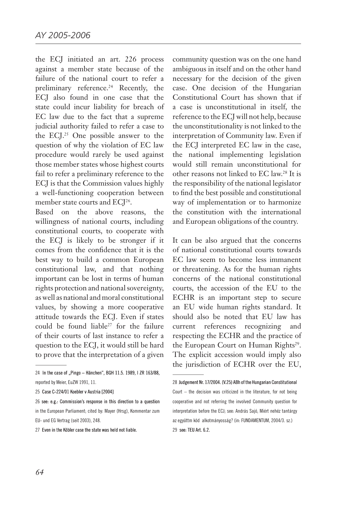the ECJ initiated an art. 226 process against a member state because of the failure of the national court to refer a preliminary reference.<sup>24</sup> Recently, the ECJ also found in one case that the state could incur liability for breach of EC law due to the fact that a supreme judicial authority failed to refer a case to the ECJ.25 One possible answer to the question of why the violation of EC law procedure would rarely be used against those member states whose highest courts fail to refer a preliminary reference to the ECJ is that the Commission values highly a well-functioning cooperation between member state courts and ECJ<sup>26</sup>.

Based on the above reasons, the willingness of national courts, including constitutional courts, to cooperate with the ECJ is likely to be stronger if it comes from the confidence that it is the best way to build a common European constitutional law, and that nothing important can be lost in terms of human rights protection and national sovereignty, as well as national and moral constitutional values, by showing a more cooperative attitude towards the ECJ. Even if states could be found liable<sup>27</sup> for the failure of their courts of last instance to refer a question to the ECJ, it would still be hard to prove that the interpretation of a given

25 Case C-224/01 Koebler v Austria [2004]

26 see: e.g.: Commission's response in this direction to a question in the European Parliament; cited by: Mayer (Hrsg), Kommentar zum EU- und EG Vertrag (seit 2003), 248.

community question was on the one hand ambiguous in itself and on the other hand necessary for the decision of the given case. One decision of the Hungarian Constitutional Court has shown that if a case is unconstitutional in itself, the reference to the ECJ will not help, because the unconstitutionality is not linked to the interpretation of Community law. Even if the ECJ interpreted EC law in the case, the national implementing legislation would still remain unconstitutional for other reasons not linked to EC law.28 It is the responsibility of the national legislator to find the best possible and constitutional way of implementation or to harmonize the constitution with the international and European obligations of the country.

It can be also argued that the concerns of national constitutional courts towards EC law seem to become less immanent or threatening. As for the human rights concerns of the national constitutional courts, the accession of the EU to the ECHR is an important step to secure an EU wide human rights standard. It should also be noted that EU law has current references recognizing and respecting the ECHR and the practice of the European Court on Human Rights<sup>29</sup>. The explicit accession would imply also the jurisdiction of ECHR over the EU,

<sup>24</sup> In the case of "Pingo - Hänchen", BGH 11.5. 1989, I ZR 163/88, reported by Meier, EuZW 1991, 11.

<sup>27</sup> Even in the Köbler case the state was held not liable.

<sup>28</sup> Judgement Nr. 17/2004. (V.25) ABh of the Hungarian Constitutional Court – the decision was criticized in the literature, for not being cooperative and not referring the involved Community question for interpretation before the ECJ; see: András Sajó, Miért nehéz tantárgy az együttm köd alkotmányosság? (in: FUNDAMENTUM, 2004/3. sz.) 29 see: TEU Art. 6.2.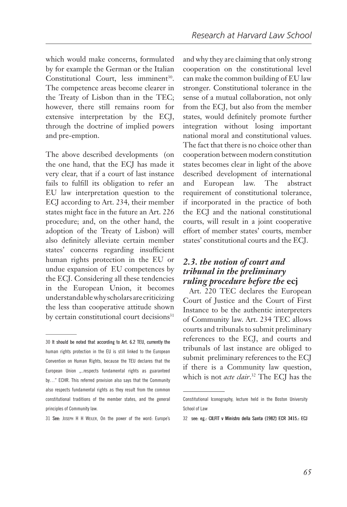which would make concerns, formulated by for example the German or the Italian Constitutional Court, less imminent<sup>30</sup>. The competence areas become clearer in the Treaty of Lisbon than in the TEC; however, there still remains room for extensive interpretation by the ECJ, through the doctrine of implied powers and pre-emption.

The above described developments (on the one hand, that the ECJ has made it very clear, that if a court of last instance fails to fulfill its obligation to refer an EU law interpretation question to the ECJ according to Art. 234, their member states might face in the future an Art. 226 procedure; and, on the other hand, the adoption of the Treaty of Lisbon) will also definitely alleviate certain member states' concerns regarding insufficient human rights protection in the EU or undue expansion of EU competences by the ECJ. Considering all these tendencies in the European Union, it becomes understandable why scholars are criticizing the less than cooperative attitude shown by certain constitutional court decisions<sup>31</sup>

See: Joseph H H Weiler, On the power of the word: Europe's

and why they are claiming that only strong cooperation on the constitutional level can make the common building of EU law stronger. Constitutional tolerance in the sense of a mutual collaboration, not only from the ECJ, but also from the member states, would definitely promote further integration without losing important national moral and constitutional values. The fact that there is no choice other than cooperation between modern constitution states becomes clear in light of the above described development of international and European law. The abstract requirement of constitutional tolerance, if incorporated in the practice of both the ECJ and the national constitutional courts, will result in a joint cooperative effort of member states' courts, member states' constitutional courts and the ECJ.

#### *2.3. the notion of court and tribunal in the preliminary ruling procedure before the* **ecj**

Art. 220 TEC declares the European Court of Justice and the Court of First Instance to be the authentic interpreters of Community law. Art. 234 TEC allows courts and tribunals to submit preliminary references to the ECJ, and courts and tribunals of last instance are obliged to submit preliminary references to the ECJ if there is a Community law question, which is not *acte clair*. 32 The ECJ has the

<sup>30</sup> It should be noted that according to Art. 6.2 TEU, currently the human rights protection in the EU is still linked to the European Convention on Human Rights, because the TEU declares that the European Union ....respects fundamental rights as guaranteed by…" ECHR. This referred provision also says that the Community also respects fundamental rights as they result from the common constitutional traditions of the member states, and the general principles of Community law.

Constitutional Iconography, lecture held in the Boston University School of Law

<sup>32</sup> see: eg.: CILFIT v Ministro della Santa (1982) ECR 3415.: ECJ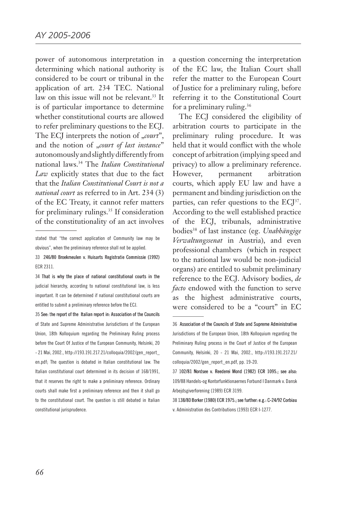power of autonomous interpretation in determining which national authority is considered to be court or tribunal in the application of art. 234 TEC. National law on this issue will not be relevant.<sup>33</sup> It is of particular importance to determine whether constitutional courts are allowed to refer preliminary questions to the ECJ. The ECJ interprets the notion of "*court*", and the notion of "court of last instance" autonomously and slightly differently from national laws.34 The *Italian Constitutional Law* explicitly states that due to the fact that the *Italian Constitutional Court is not a national court* as referred to in Art. 234 (3) of the EC Treaty, it cannot refer matters for preliminary rulings.<sup>35</sup> If consideration of the constitutionality of an act involves

34 That is why the place of national constitutional courts in the judicial hierarchy, according to national constitutional law, is less important. It can be determined if national constitutional courts are entitled to submit a preliminary reference before the ECJ.

 See: the report of the Italian report in: Association of the Councils of State and Supreme Administrative Jurisdictions of the European Union, 18th Kolloquium regarding the Preliminary Ruling process before the Court Of Justice of the European Community, Helsinki, 20 - 21 Mai, 2002., http://193.191.217.21/colloquia/2002/gen\_report\_ en.pdf; The question is debated in Italian constitutional law. The Italian constitutional court determined in its decision of 168/1991, that it reserves the right to make a preliminary reference. Ordinary courts shall make first a preliminary reference and then it shall go to the constitutional court. The question is still debated in Italian constitutional jurisprudence.

a question concerning the interpretation of the EC law, the Italian Court shall refer the matter to the European Court of Justice for a preliminary ruling, before referring it to the Constitutional Court for a preliminary ruling.36

The ECJ considered the eligibility of arbitration courts to participate in the preliminary ruling procedure. It was held that it would conflict with the whole concept of arbitration (implying speed and privacy) to allow a preliminary reference. However, permanent arbitration courts, which apply EU law and have a permanent and binding jurisdiction on the parties, can refer questions to the ECJ<sup>37</sup>. According to the well established practice of the ECJ, tribunals, administrative bodies38 of last instance (eg. *Unabhängige Verwaltungssenat* in Austria), and even professional chambers (which in respect to the national law would be non-judicial organs) are entitled to submit preliminary reference to the ECJ. Advisory bodies, *de facto* endowed with the function to serve as the highest administrative courts, were considered to be a "court" in EC

#### Association of the Councils of State and Supreme Administrative

Jurisdictions of the European Union, 18th Kolloquium regarding the Preliminary Ruling process in the Court of Justice of the European Community, Helsinki, 20 - 21 Mai, 2002., http://193.191.217.21/ colloquia/2002/gen\_report\_en.pdf, pp. 19-20.

 102/81 Nordsee v. Reederei Mond (1982) ECR 1095.; see also: 109/88 Handels-og Kontorfunktionaernes Forbund I Danmark v. Dansk Arbejdsgiverforening (1989) ECR 3199.

 138/80 Borker (1980) ECR 1975.; see further: e.g.: C-24/92 Corbiau v. Administration des Contributions (1993) ECR I-1277.

stated that "the correct application of Community law may be obvious", when the preliminary reference shall not be applied.

 <sup>246/80</sup> Broekmeulen v. Huisarts Registratie Commissie (1992) ECR 2311.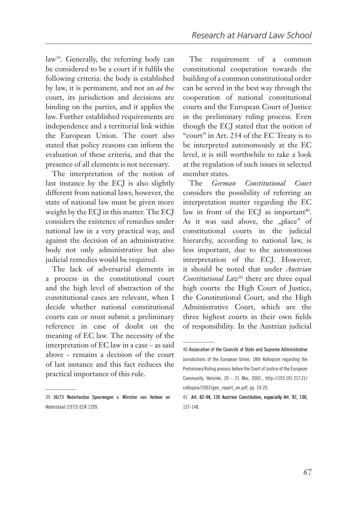law<sup>39</sup>. Generally, the referring body can be considered to be a court if it fulfils the following criteria: the body is established by law, it is permanent, and not an *ad hoc* court, its jurisdiction and decisions are binding on the parties, and it applies the law. Further established requirements are independence and a territorial link within the European Union. The court also stated that policy reasons can inform the evaluation of these criteria, and that the presence of all elements is not necessary.

The interpretation of the notion of last instance by the ECJ is also slightly different from national laws; however, the state of national law must be given more weight by the ECJ in this matter. The ECJ considers the existence of remedies under national law in a very practical way, and against the decision of an administrative body not only administrative but also judicial remedies would be required.

The lack of adversarial elements in a process in the constitutional court and the high level of abstraction of the constitutional cases are relevant, when I decide whether national constitutional courts can or must submit a preliminary reference in case of doubt on the meaning of EC law. The necessity of the interpretation of EC law in a case – as said above - remains a decision of the court of last instance and this fact reduces the practical importance of this rule.

The requirement of a common constitutional cooperation towards the building of a common constitutional order can be served in the best way through the cooperation of national constitutional courts and the European Court of Justice in the preliminary ruling process. Even though the ECJ stated that the notion of "court" in Art. 234 of the EC Treaty is to be interpreted autonomously at the EC level, it is still worthwhile to take a look at the regulation of such issues in selected member states.

The *German Constitutional Court*  considers the possibility of referring an interpretation matter regarding the EC law in front of the ECJ as important<sup>40</sup>. As it was said above, the "place" of constitutional courts in the judicial hierarchy, according to national law, is less important, due to the autonomous interpretation of the ECJ. However, it should be noted that under *Austrian Constitutional Law*<sup>41</sup> there are three equal high courts: the High Court of Justice, the Constitutional Court, and the High Administrative Court, which are the three highest courts in their own fields of responsibility. In the Austrian judicial

 <sup>36/73</sup> Nederlandse Spoorwegen v. Minister van Verkeer en Waterstaat (1973) ECR 1299.

Association of the Councils of State and Supreme Administrative Jurisdictions of the European Union, 18th Kolloqium regarding the Preliminary Ruling process before the Court of Justice of the European Community, Helsinki, 20 - 21 Mai, 2002., http://193.191.217.21/ colloquia/2002/gen\_report\_en.pdf, pp. 19-20.

<sup>41</sup> Art. 82-94, 130 Austrian Constitution, especially Art. 92, 130, 137-148.